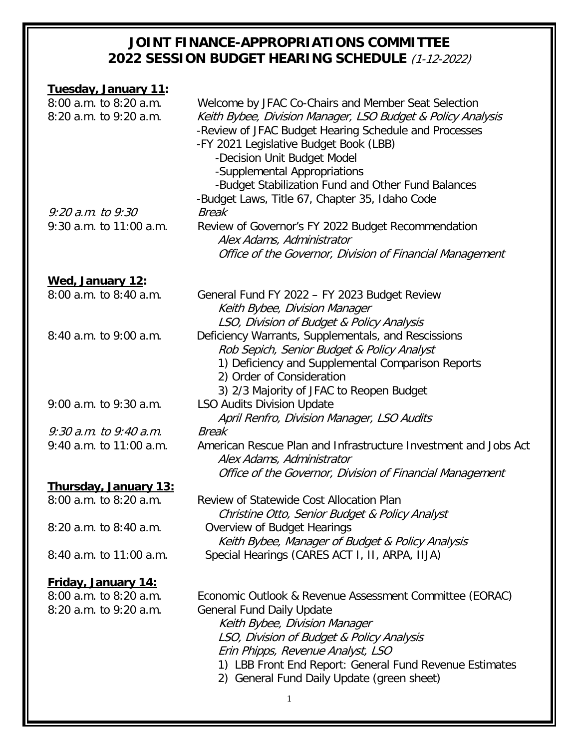| Tuesday, January 11:         |                                                                                 |
|------------------------------|---------------------------------------------------------------------------------|
| 8:00 a.m. to 8:20 a.m.       | Welcome by JFAC Co-Chairs and Member Seat Selection                             |
| 8:20 a.m. to 9:20 a.m.       | Keith Bybee, Division Manager, LSO Budget & Policy Analysis                     |
|                              | -Review of JFAC Budget Hearing Schedule and Processes                           |
|                              | -FY 2021 Legislative Budget Book (LBB)                                          |
|                              | -Decision Unit Budget Model                                                     |
|                              | -Supplemental Appropriations                                                    |
|                              | -Budget Stabilization Fund and Other Fund Balances                              |
|                              | -Budget Laws, Title 67, Chapter 35, Idaho Code                                  |
| $9:20$ a.m. to $9:30$        | <b>Break</b>                                                                    |
| $9:30$ a.m. to 11:00 a.m.    | Review of Governor's FY 2022 Budget Recommendation                              |
|                              | Alex Adams, Administrator                                                       |
|                              | Office of the Governor, Division of Financial Management                        |
| Wed, January 12:             |                                                                                 |
| 8:00 a.m. to 8:40 a.m.       | General Fund FY 2022 - FY 2023 Budget Review                                    |
|                              | Keith Bybee, Division Manager                                                   |
|                              | LSO, Division of Budget & Policy Analysis                                       |
| 8:40 a.m. to 9:00 a.m.       | Deficiency Warrants, Supplementals, and Rescissions                             |
|                              | Rob Sepich, Senior Budget & Policy Analyst                                      |
|                              | 1) Deficiency and Supplemental Comparison Reports                               |
|                              | 2) Order of Consideration                                                       |
|                              | 3) 2/3 Majority of JFAC to Reopen Budget                                        |
| 9:00 a.m. to 9:30 a.m.       | <b>LSO Audits Division Update</b>                                               |
|                              | April Renfro, Division Manager, LSO Audits                                      |
| $9:30$ a.m. to $9:40$ a.m.   | <b>Break</b>                                                                    |
| $9:40$ a.m. to 11:00 a.m.    | American Rescue Plan and Infrastructure Investment and Jobs Act                 |
|                              | Alex Adams, Administrator                                                       |
|                              | Office of the Governor, Division of Financial Management                        |
| <u>Thursday, January 13:</u> |                                                                                 |
| 8:00 a.m. to 8:20 a.m.       | Review of Statewide Cost Allocation Plan                                        |
|                              | Christine Otto, Senior Budget & Policy Analyst                                  |
| 8:20 a.m. to 8:40 a.m.       | Overview of Budget Hearings<br>Keith Bybee, Manager of Budget & Policy Analysis |
| 8:40 a.m. to 11:00 a.m.      | Special Hearings (CARES ACT I, II, ARPA, IIJA)                                  |
|                              |                                                                                 |
| <b>Friday, January 14:</b>   |                                                                                 |
| 8:00 a.m. to 8:20 a.m.       | Economic Outlook & Revenue Assessment Committee (EORAC)                         |
| 8:20 a.m. to 9:20 a.m.       | <b>General Fund Daily Update</b>                                                |
|                              | Keith Bybee, Division Manager                                                   |
|                              | LSO, Division of Budget & Policy Analysis                                       |
|                              | Erin Phipps, Revenue Analyst, LSO                                               |
|                              | 1) LBB Front End Report: General Fund Revenue Estimates                         |
|                              | 2) General Fund Daily Update (green sheet)                                      |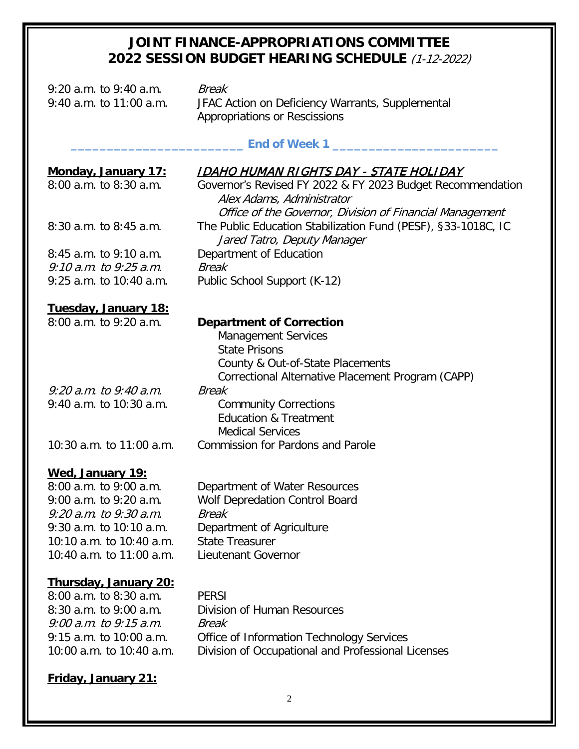| $9:20$ a.m. to $9:40$ a.m.   | <b>Break</b>                                                                                                                                                                   |               |  |  |
|------------------------------|--------------------------------------------------------------------------------------------------------------------------------------------------------------------------------|---------------|--|--|
| 9:40 a.m. to 11:00 a.m.      | JFAC Action on Deficiency Warrants, Supplemental<br>Appropriations or Rescissions                                                                                              |               |  |  |
|                              |                                                                                                                                                                                | End of Week 1 |  |  |
| Monday, January 17:          | <u>IDAHO HUMAN RIGHTS DAY - STATE HOLIDAY</u>                                                                                                                                  |               |  |  |
| $8:00$ a.m. to $8:30$ a.m.   | Governor's Revised FY 2022 & FY 2023 Budget Recommendation<br>Alex Adams, Administrator<br>Office of the Governor, Division of Financial Management                            |               |  |  |
| 8:30 a.m. to 8:45 a.m.       | The Public Education Stabilization Fund (PESF), §33-1018C, IC<br>Jared Tatro, Deputy Manager                                                                                   |               |  |  |
| $8:45$ a.m. to $9:10$ a.m.   | Department of Education                                                                                                                                                        |               |  |  |
| $9:10$ a.m. to $9:25$ a.m.   | <b>Break</b>                                                                                                                                                                   |               |  |  |
| 9:25 a.m. to 10:40 a.m.      | Public School Support (K-12)                                                                                                                                                   |               |  |  |
| Tuesday, January 18:         |                                                                                                                                                                                |               |  |  |
| 8:00 a.m. to 9:20 a.m.       | <b>Department of Correction</b><br><b>Management Services</b><br><b>State Prisons</b><br>County & Out-of-State Placements<br>Correctional Alternative Placement Program (CAPP) |               |  |  |
| $9:20$ a.m. to $9:40$ a.m.   | <b>Break</b>                                                                                                                                                                   |               |  |  |
| 9:40 a.m. to 10:30 a.m.      | <b>Community Corrections</b><br><b>Education &amp; Treatment</b><br><b>Medical Services</b>                                                                                    |               |  |  |
| 10:30 a.m. to 11:00 a.m.     | <b>Commission for Pardons and Parole</b>                                                                                                                                       |               |  |  |
| Wed, January 19:             |                                                                                                                                                                                |               |  |  |
| 8:00 a.m. to 9:00 a.m.       | Department of Water Resources                                                                                                                                                  |               |  |  |
| 9:00 a.m. to 9:20 a.m.       | <b>Wolf Depredation Control Board</b>                                                                                                                                          |               |  |  |
| 9:20 a.m. to 9:30 a.m.       | Break                                                                                                                                                                          |               |  |  |
| 9:30 a.m. to 10:10 a.m.      | Department of Agriculture                                                                                                                                                      |               |  |  |
| 10:10 a.m. to 10:40 a.m.     | <b>State Treasurer</b>                                                                                                                                                         |               |  |  |
| 10:40 a.m. to 11:00 a.m.     | <b>Lieutenant Governor</b>                                                                                                                                                     |               |  |  |
| <u>Thursday, January 20:</u> |                                                                                                                                                                                |               |  |  |
| 8:00 a.m. to 8:30 a.m.       | <b>PERSI</b>                                                                                                                                                                   |               |  |  |
| 8:30 a.m. to 9:00 a.m.       | <b>Division of Human Resources</b>                                                                                                                                             |               |  |  |
| $9:00$ a.m. to $9:15$ a.m.   | Break                                                                                                                                                                          |               |  |  |
| 9:15 a.m. to 10:00 a.m.      | Office of Information Technology Services                                                                                                                                      |               |  |  |
| 10:00 a.m. to 10:40 a.m.     | Division of Occupational and Professional Licenses                                                                                                                             |               |  |  |

# **Friday, January 21:**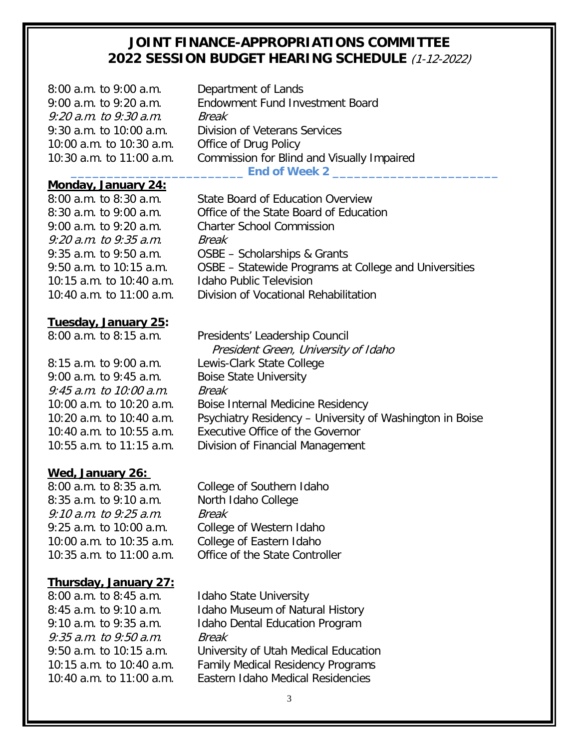| $8:00$ a.m. to $9:00$ a.m.<br>9:00 a.m. to 9:20 a.m.<br>9:20 a.m. to 9:30 a.m. | Department of Lands<br>Endowment Fund Investment Board<br>Break        |
|--------------------------------------------------------------------------------|------------------------------------------------------------------------|
| $9:30$ a.m. to 10:00 a.m.                                                      | <b>Division of Veterans Services</b>                                   |
| 10:00 a.m. to 10:30 a.m.                                                       | Office of Drug Policy                                                  |
| 10:30 a.m. to 11:00 a.m.                                                       | Commission for Blind and Visually Impaired                             |
|                                                                                | End of Week 2 _______                                                  |
| Monday, January 24:                                                            |                                                                        |
| $8:00$ a.m. to $8:30$ a.m.                                                     | State Board of Education Overview                                      |
| $8:30$ a.m. to 9:00 a.m.                                                       | Office of the State Board of Education                                 |
| 9:00 a.m. to 9:20 a.m.                                                         | <b>Charter School Commission</b>                                       |
| $9:20$ a.m. to $9:35$ a.m.                                                     | Break                                                                  |
| $9:35$ a.m. to $9:50$ a.m.                                                     | OSBE - Scholarships & Grants                                           |
| $9:50$ a.m. to 10:15 a.m.                                                      | OSBE – Statewide Programs at College and Universities                  |
| 10:15 a.m. to 10:40 a.m.                                                       | <b>Idaho Public Television</b>                                         |
| 10:40 a.m. to 11:00 a.m.                                                       | Division of Vocational Rehabilitation                                  |
| Tuesday, January 25:                                                           |                                                                        |
| $8:00$ a.m. to $8:15$ a.m.                                                     | Presidents' Leadership Council<br>President Green, University of Idaho |

9:00 a.m. to 9:45 a.m. Boise State University 9:45 a.m. to 10:00 a.m. Break

#### **Wed, January 26:**

8:35 a.m. to 9:10 a.m. North Idaho College 9:10 a.m. to 9:25 a.m. Break 10:00 a.m. to 10:35 a.m. College of Eastern Idaho

#### **Thursday, January 27:**

8:00 a.m. to 8:45 a.m. Idaho State University 9:35 a.m. to 9:50 a.m. Break

 President Green, University of Idaho 8:15 a.m. to 9:00 a.m. Lewis-Clark State College 10:00 a.m. to 10:20 a.m. Boise Internal Medicine Residency 10:20 a.m. to 10:40 a.m. Psychiatry Residency – University of Washington in Boise 10:40 a.m. to 10:55 a.m. Executive Office of the Governor 10:55 a.m. to 11:15 a.m. Division of Financial Management

8:00 a.m. to 8:35 a.m. College of Southern Idaho 9:25 a.m. to 10:00 a.m. College of Western Idaho 10:35 a.m. to 11:00 a.m. Office of the State Controller

8:45 a.m. to 9:10 a.m. Idaho Museum of Natural History 9:10 a.m. to 9:35 a.m. Idaho Dental Education Program 9:50 a.m. to 10:15 a.m. University of Utah Medical Education 10:15 a.m. to 10:40 a.m. Family Medical Residency Programs 10:40 a.m. to 11:00 a.m. Eastern Idaho Medical Residencies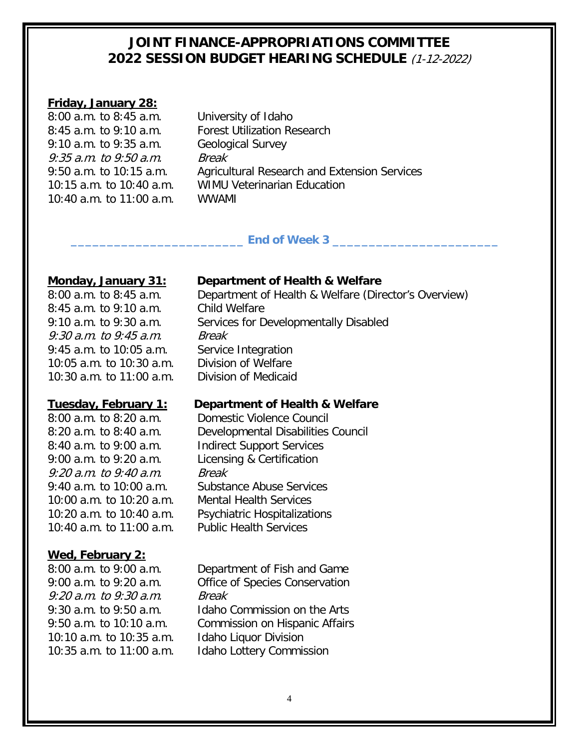#### **Friday, January 28:**

| $8:00$ a.m. to $8:45$ a.m. |
|----------------------------|
| 8:45 a.m. to 9:10 a.m.     |
| $9:10$ a.m. to $9:35$ a.m. |
| $9:35$ a.m. to $9:50$ a.m. |
| $9:50$ a.m. to 10:15 a.m.  |
| 10:15 a.m. to 10:40 a.m.   |
| 10:40 a.m. to 11:00 a.m.   |

University of Idaho **Forest Utilization Research** Geological Survey **Break** Agricultural Research and Extension Services WIMU Veterinarian Education WWAMI.

### End of Week 3

8:45 a.m. to 9:10 a.m. Child Welfare 9:30 a.m. to 9:45 a.m. Break 9:45 a.m. to 10:05 a.m. Service Integration 10:05 a.m. to 10:30 a.m. Division of Welfare<br>10:30 a.m. to 11:00 a.m. Division of Medicaid 10:30 a.m. to  $11:00$  a.m.

9:00 a.m. to 9:20 a.m. Licensing & Certification 9:20 a.m. to 9:40 a.m. Break 10:00 a.m. to 10:20 a.m. Mental Health Services 10:40 a.m. to 11:00 a.m. Public Health Services

### **Wed, February 2:**

9:20 a.m. to 9:30 a.m. Break 10:10 a.m. to 10:35 a.m. Idaho Liquor Division

**Monday, January 31: Department of Health & Welfare**<br>8:00 a.m. to 8:45 a.m. Department of Health & Welfare (Dire Department of Health & Welfare (Director's Overview) 9:10 a.m. to 9:30 a.m. Services for Developmentally Disabled

### **Tuesday, February 1: Department of Health & Welfare**

8:00 a.m. to 8:20 a.m. Domestic Violence Council 8:20 a.m. to 8:40 a.m. Developmental Disabilities Council 8:40 a.m. to 9:00 a.m. Indirect Support Services 9:40 a.m. to 10:00 a.m. Substance Abuse Services 10:20 a.m. to 10:40 a.m. Psychiatric Hospitalizations

8:00 a.m. to 9:00 a.m. Department of Fish and Game 9:00 a.m. to 9:20 a.m. Office of Species Conservation 9:30 a.m. to 9:50 a.m. Idaho Commission on the Arts 9:50 a.m. to 10:10 a.m. Commission on Hispanic Affairs 10:35 a.m. to 11:00 a.m. Idaho Lottery Commission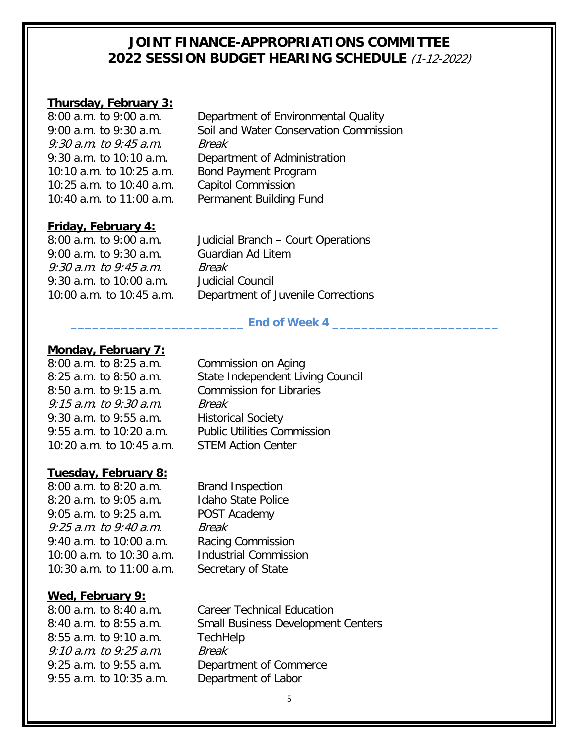# **Thursday, February 3:**

9:30 a.m. to 9:45 a.m. Break 10:10 a.m. to 10:25 a.m. Bond Payment Program 10:25 a.m. to 10:40 a.m. Capitol Commission

Department of Environmental Quality 9:00 a.m. to 9:30 a.m. Soil and Water Conservation Commission 9:30 a.m. to 10:10 a.m. Department of Administration 10:40 a.m. to 11:00 a.m. Permanent Building Fund

# **Friday, February 4:**<br>8:00 a.m. to 9:00 a.m.

9:00 a.m. to 9:30 a.m. Guardian Ad Litem 9:30 a.m. to 9:45 a.m. Break 9:30 a.m. to 10:00 a.m. Judicial Council

Judicial Branch – Court Operations 10:00 a.m. to 10:45 a.m. Department of Juvenile Corrections

### **\_\_\_\_\_\_\_\_\_\_\_\_\_\_\_\_\_\_\_\_\_\_\_\_ End of Week 4 \_\_\_\_\_\_\_\_\_\_\_\_\_\_\_\_\_\_\_\_\_\_\_**

#### **Monday, February 7:**

8:00 a.m. to 8:25 a.m. Commission on Aging 9:15 a.m. to 9:30 a.m. Break 9:30 a.m. to 9:55 a.m. Historical Society 10:20 a.m. to 10:45 a.m. STEM Action Center

#### **Tuesday, February 8:**

8:00 a.m. to 8:20 a.m. Brand Inspection 8:20 a.m. to 9:05 a.m. Idaho State Police 9:05 a.m. to 9:25 a.m. POST Academy 9:25 a.m. to 9:40 a.m. Break 9:40 a.m. to 10:00 a.m. Racing Commission 10:00 a.m. to 10:30 a.m. Industrial Commission 10:30 a.m. to 11:00 a.m. Secretary of State

# **Wed, February 9:**

8:55 a.m. to 9:10 a.m. TechHelp 9:10 a.m. to 9:25 a.m. Break 9:55 a.m. to 10:35 a.m. Department of Labor

8:25 a.m. to 8:50 a.m. State Independent Living Council 8:50 a.m. to 9:15 a.m. Commission for Libraries 9:55 a.m. to 10:20 a.m. Public Utilities Commission

Career Technical Education 8:40 a.m. to 8:55 a.m. Small Business Development Centers 9:25 a.m. to 9:55 a.m. Department of Commerce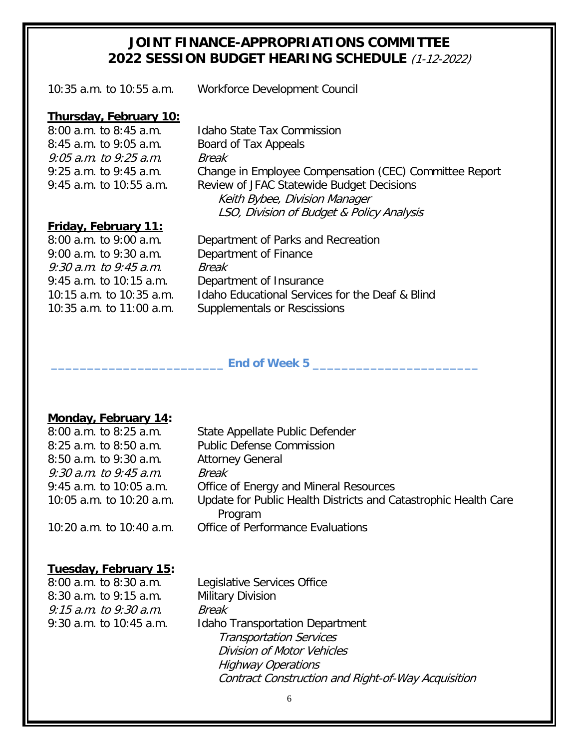10:35 a.m. to 10:55 a.m. Workforce Development Council

# **Thursday, February 10:** 8:00 a.m. to 8:45 a.m.

8:45 a.m. to 9:05 a.m. Board of Tax Appeals 9:05 a.m. to 9:25 a.m. Break

Idaho State Tax Commission 9:25 a.m. to 9:45 a.m. Change in Employee Compensation (CEC) Committee Report 9:45 a.m. to 10:55 a.m. Review of JFAC Statewide Budget Decisions Keith Bybee, Division Manager LSO, Division of Budget & Policy Analysis

# **Friday, February 11:**<br>8:00 a.m. to 9:00 a.m.

9:00 a.m. to 9:30 a.m. Department of Finance 9:30 a.m. to 9:45 a.m. Break

Department of Parks and Recreation 9:45 a.m. to 10:15 a.m. Department of Insurance 10:15 a.m. to 10:35 a.m. Idaho Educational Services for the Deaf & Blind 10:35 a.m. to 11:00 a.m. Supplementals or Rescissions

#### **\_\_\_\_\_\_\_\_\_\_\_\_\_\_\_\_\_\_\_\_\_\_\_\_ End of Week 5 \_\_\_\_\_\_\_\_\_\_\_\_\_\_\_\_\_\_\_\_\_\_\_**

#### **Monday, February 14:**

| 8:00 a.m. to 8:25 a.m.     | State Appellate Public Defender                                 |
|----------------------------|-----------------------------------------------------------------|
| 8:25 a.m. to 8:50 a.m.     | <b>Public Defense Commission</b>                                |
| 8:50 a.m. to 9:30 a.m.     | <b>Attorney General</b>                                         |
| $9:30$ a.m. to $9:45$ a.m. | <b>Break</b>                                                    |
| 9:45 a.m. to 10:05 a.m.    | Office of Energy and Mineral Resources                          |
| 10:05 a.m. to 10:20 a.m.   | Update for Public Health Districts and Catastrophic Health Care |
|                            | Program                                                         |
| 10:20 a.m. to 10:40 a.m.   | Office of Performance Evaluations                               |

#### **Tuesday, February 15:**

8:00 a.m. to 8:30 a.m. Legislative Services Office 8:30 a.m. to 9:15 a.m. Military Division 9:15 a.m. to 9:30 a.m. Break

9:30 a.m. to 10:45 a.m. Idaho Transportation Department Transportation Services Division of Motor Vehicles Highway Operations Contract Construction and Right-of-Way Acquisition